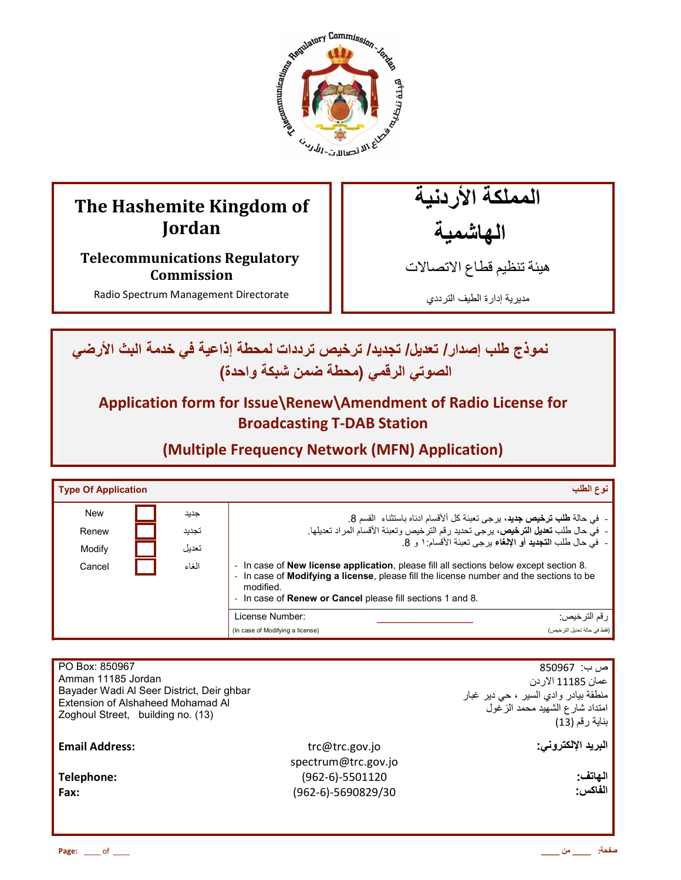

# **The Hashemite Kingdom of Jordan**

**Telecommunications Regulatory Commission** 

Radio Spectrum Management Directorate

المملكة الأردنية الهاشمية

هيئة تنظيم قطاع الاتصـالات

مديرية إدارة الطيف الترددي

ـ نموذج طلب إصدار / تعديل/ تجديد/ ترخيص ترددات لمحطة إذاعية في خدمة البث الأرض*ي* الصوتي الرق*مي* (محطة ضمن شبكة واحدة)

**Application form for Issue\Renew\Amendment of Radio License for Broadcasting T-DAB Station** 

**(Multiple Frequency Network (MFN) Application)**

| <b>Type Of Application</b> |                | نوع الطلب                                                                                                                                                                                                                                                                                         |  |
|----------------------------|----------------|---------------------------------------------------------------------------------------------------------------------------------------------------------------------------------------------------------------------------------------------------------------------------------------------------|--|
| <b>New</b>                 | جديد           | - في حالة <b>طلب ترخيص جديد</b> ، برجي تعبئة كل ألأقسام ادناه باستثناء  القسم 8.                                                                                                                                                                                                                  |  |
| Renew                      | تجديد          | -  في حال طلب <b>تعديل الترخيص،</b> يرجى تحديد رقم الترخيص وتعبئة الأقسام المراد تعديلها.                                                                                                                                                                                                         |  |
| Modify                     | تعدبل<br>الغاء | -  فيّ حال طلب ا <b>لتجديد</b> أو الإ <b>لغ</b> اء يرجى تعبئة الأقسام: ١ و 8.                                                                                                                                                                                                                     |  |
| Cancel                     |                | In case of <b>New license application</b> , please fill all sections below except section 8.<br>$\overline{\phantom{a}}$<br>In case of Modifying a license, please fill the license number and the sections to be<br>modified.<br>In case of <b>Renew or Cancel</b> please fill sections 1 and 8. |  |
|                            |                | License Number:<br>رقم الترخيص:                                                                                                                                                                                                                                                                   |  |
|                            |                | (فقط في حالة تعديل الترخيص)<br>(In case of Modifying a license)                                                                                                                                                                                                                                   |  |

| PO Box: 850967<br>Amman 11185 Jordan<br>Bayader Wadi Al Seer District, Deir ghbar<br>Extension of Alshaheed Mohamad Al<br>Zoghoul Street, building no. (13) |                                       | ص ب:  850967<br>عمان 11185 الاردن<br>منطقة بيادر وادي السير ، حي دير غبار<br>امتداد شارع الشهيد محمد الزغول<br>بناية رقم (13) |
|-------------------------------------------------------------------------------------------------------------------------------------------------------------|---------------------------------------|-------------------------------------------------------------------------------------------------------------------------------|
| <b>Email Address:</b>                                                                                                                                       | trc@trc.gov.jo<br>spectrum@trc.gov.jo | البريد الإلكتروني:                                                                                                            |
| Telephone:<br>Fax:                                                                                                                                          | (962-6)-5501120<br>(962-6)-5690829/30 | الهاتف:<br>الفاكس:                                                                                                            |
|                                                                                                                                                             |                                       |                                                                                                                               |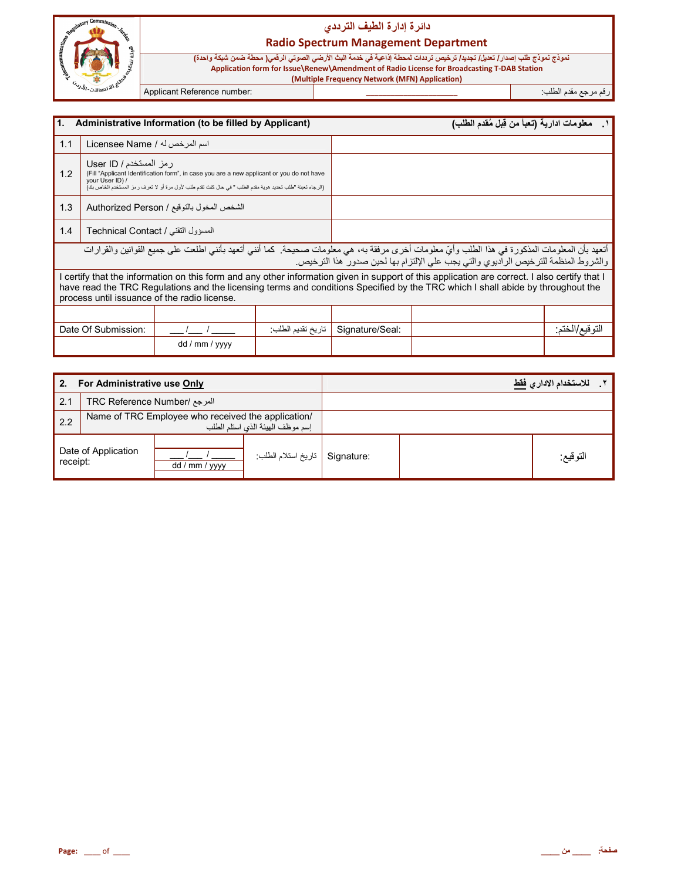

## <mark>دائرة إدارة الطيف التردد</mark>ي

#### **Radio Spectrum Management Department**

**( Multiple Frequency Network (MFN) Application)**

.<br>نموذج نموذج طلب إصدا*ر | تعديل| ت*جديد/ ترخيص ترددات لمحطة إذاعية في خدمة البث الأرضي الصوتي الرقمي( محطة ضمن شبكة واحدة)<br>Application form for Issue\Renew\Amendment of Radio License for Broadcasting T-DAB Station

رم رg' دم اط+ب: **\_\_\_\_\_\_\_\_\_\_\_\_\_\_\_\_\_\_\_\_\_\_** :number Reference Applicant

| l1.<br>Administrative Information (to be filled by Applicant)                                                                                                                                                                                                                                                                    |                                    |                                           |                   | معلومات ادارية (تعبأ من قِبل مُقدم الطلب) |  |                |
|----------------------------------------------------------------------------------------------------------------------------------------------------------------------------------------------------------------------------------------------------------------------------------------------------------------------------------|------------------------------------|-------------------------------------------|-------------------|-------------------------------------------|--|----------------|
| 1.1                                                                                                                                                                                                                                                                                                                              | اسم المرخص له / Licensee Name      |                                           |                   |                                           |  |                |
| رمز المستخدم / User ID<br>(Fill "Applicant Identification form", in case you are a new applicant or you do not have<br>1.2<br>your User ID) /<br>(الرجاء تعبئة "طلب تحديد هوية مقدم الطلب " في حال كنت تقدم طلب لأول مرة أو لا تعرف رمز المستخدم الخاص بك)                                                                       |                                    |                                           |                   |                                           |  |                |
| 1.3                                                                                                                                                                                                                                                                                                                              |                                    | الشخص المخول بالتوقيع / Authorized Person |                   |                                           |  |                |
| 1.4                                                                                                                                                                                                                                                                                                                              | المسؤول التقني / Technical Contact |                                           |                   |                                           |  |                |
| أتعهد بأن المعلومات المذكورة في هذا الطلب وأيّ معلومات أخرى مرفقة به، هي معلومات صحيحة. كما أنني أتعهد بأنني اطلعت على جميع القوانين والقرارات<br>والشروط المنظمة للترخيص الراديوي والتي يجب على الإلتزام بها لحين صدور هذا الترخيص.                                                                                             |                                    |                                           |                   |                                           |  |                |
| I certify that the information on this form and any other information given in support of this application are correct. I also certify that I<br>have read the TRC Regulations and the licensing terms and conditions Specified by the TRC which I shall abide by throughout the<br>process until issuance of the radio license. |                                    |                                           |                   |                                           |  |                |
|                                                                                                                                                                                                                                                                                                                                  |                                    |                                           |                   |                                           |  |                |
|                                                                                                                                                                                                                                                                                                                                  | Date Of Submission:                |                                           | تاريخ تقديم الطلب | Signature/Seal:                           |  | التوفيع/الختم: |
|                                                                                                                                                                                                                                                                                                                                  |                                    | dd / mm / yyyy                            |                   |                                           |  |                |

| 2.<br>For Administrative use Only |                                                                                        |                |                    | للاستخدام الادار يفقط |          |
|-----------------------------------|----------------------------------------------------------------------------------------|----------------|--------------------|-----------------------|----------|
| 2.1                               | المرجع /TRC Reference Number                                                           |                |                    |                       |          |
| 2.2                               | Name of TRC Employee who received the application/<br>إسم موظف الهيئة الذي استلم الطلب |                |                    |                       |          |
| Date of Application<br>receipt:   |                                                                                        | dd / mm / yyyy | تاريخ استلام الطلب | Signature:            | النوقيع: |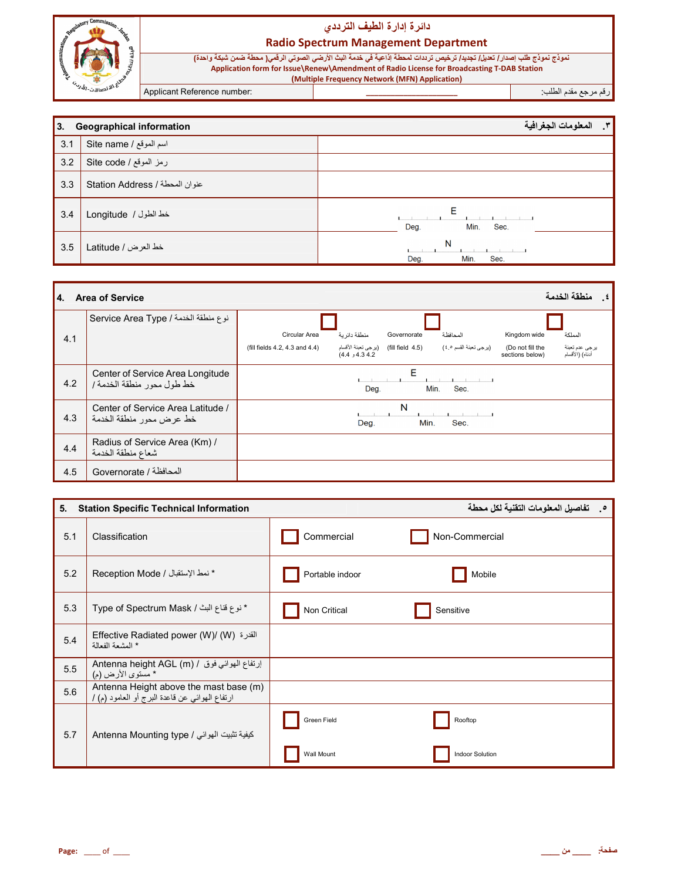

#### **Radio Spectrum Management Department**

Applicant Reference number:

### رقم مرجع مقدم الطلب<del>.</del>

| 3.  | <b>Geographical information</b> | المعلومات الجغرافية<br>$\cdot$ $\cdot$ |
|-----|---------------------------------|----------------------------------------|
| 3.1 | Site name / اسم الموقع          |                                        |
| 3.2 | رمز الموقع / Site code          |                                        |
| 3.3 | Station Address / عنوان المحطة  |                                        |
| 3.4 | خط الطول / Longitude            | Е<br>Deg.<br>Min.<br>Sec.              |
| 3.5 | خط العرض / Latitude             | N<br>Deg.<br>Min.<br>Sec.              |

| 4.  | منطقة الخدمة<br><b>Area of Service</b>                        |                                                                                                                                                                                                                                   |  |  |  |
|-----|---------------------------------------------------------------|-----------------------------------------------------------------------------------------------------------------------------------------------------------------------------------------------------------------------------------|--|--|--|
| 4.1 | نوع منطقة الخدمة / Service Area Type                          | منطقة دائر بة<br>Circular Area<br>المحافظة<br>المملكة<br>Governorate<br>Kingdom wide<br>(fill field  4.5)    (يرجى تعبئة الأقسام<br>(برجي تعبئة القسم ٤٥)<br>(Do not fill the<br>يرجى عدم تعبئة<br>(fill fields 4.2, 4.3 and 4.4) |  |  |  |
| 4.2 | Center of Service Area Longitude<br>خط طول محور منطقة الخدمة/ | أنناه) (الأقسام<br>4.4 و4.4)<br>sections below)<br>E<br>Deg.<br>Min.<br>Sec.                                                                                                                                                      |  |  |  |
| 4.3 | Center of Service Area Latitude /<br>خط عرض محور منطقة الخدمة | N<br>Min.<br>Sec.<br>Deg.                                                                                                                                                                                                         |  |  |  |
| 4.4 | Radius of Service Area (Km) /<br>شعاع منطقة الخدمة            |                                                                                                                                                                                                                                   |  |  |  |
| 4.5 | المحافظة / Governorate                                        |                                                                                                                                                                                                                                   |  |  |  |

| 5.  | <b>Station Specific Technical Information</b>                                            |                 | 0 .     تفاصيل المعلومات التقنية لكل محطة |
|-----|------------------------------------------------------------------------------------------|-----------------|-------------------------------------------|
| 5.1 | Classification                                                                           | Commercial      | Non-Commercial                            |
| 5.2 | * نمط الإستقبال / Reception Mode                                                         | Portable indoor | Mobile                                    |
| 5.3 | * نوع قناع البث / Type of Spectrum Mask                                                  | Non Critical    | Sensitive                                 |
| 5.4 | Effective Radiated power (W)/ (W) القدرة<br>* المشعة الفعالة                             |                 |                                           |
| 5.5 | إرتفاع الهوائي فوق / Antenna height AGL (m)<br>* مسّنوي الأرض (م)                        |                 |                                           |
| 5.6 | Antenna Height above the mast base (m)<br>ارتفاع الهوائي عن قاعدة البرج أو العامود (م) / |                 |                                           |
| 5.7 | كيفية تثبيت الموائي / Antenna Mounting type                                              | Green Field     | Rooftop                                   |
|     |                                                                                          | Wall Mount      | <b>Indoor Solution</b>                    |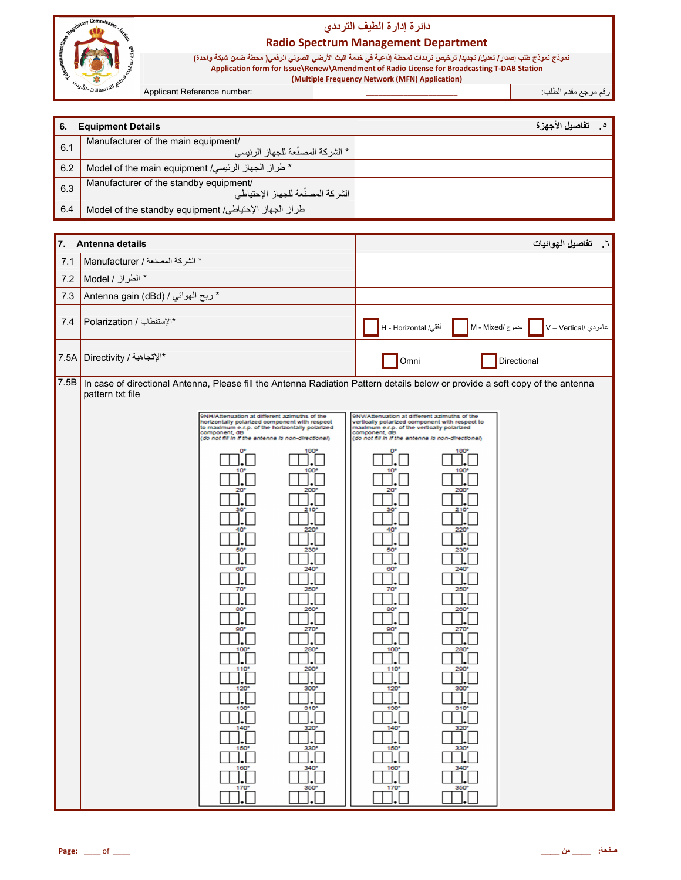

**Radio Spectrum Management Department** 

نموذج نموذج طلب إصدار / تعديل/ تجديد/ ترخيص ترددات لمحطة إذاعية في خدمة البث الأرضي الصوتي الرقمي( محطة ضمن شبكة واحدة)<br>Application form for Issue\Renew\Amendment of Radio License for Broadcasting T-DAB Station<br>Multiple F

Applicant Reference number:

رقم مرجع مقدم الطلب:

| <b>Equipment Details</b><br>6. |                                                                             | تفاصيل الأجهز ة |
|--------------------------------|-----------------------------------------------------------------------------|-----------------|
| 6.1                            | Manufacturer of the main equipment/<br>. * الشر كة المصنِّعة للجهاز الرئيسي |                 |
| 6.2                            | * طراز الجهاز الرئيسي/ Model of the main equipment                          |                 |
| 6.3                            | Manufacturer of the standby equipment/<br>الشركة المصنِّعة للجهاز الإحتياطي |                 |
| 6.4                            | طراز الجهاز الإحتياطي/ Model of the standby equipment                       |                 |

| 7.   | Antenna details                    |                                                                                                                                                                                                                                                                                                                                                                                                                                                                                                                                             | تفاصيل الهوائيات<br>- 1                                                                                                                                                                                                                                                                                                                                                                                                                                                                                                                                                                                              |
|------|------------------------------------|---------------------------------------------------------------------------------------------------------------------------------------------------------------------------------------------------------------------------------------------------------------------------------------------------------------------------------------------------------------------------------------------------------------------------------------------------------------------------------------------------------------------------------------------|----------------------------------------------------------------------------------------------------------------------------------------------------------------------------------------------------------------------------------------------------------------------------------------------------------------------------------------------------------------------------------------------------------------------------------------------------------------------------------------------------------------------------------------------------------------------------------------------------------------------|
| 7.1  | * الشركة المصنعة / Manufacturer    |                                                                                                                                                                                                                                                                                                                                                                                                                                                                                                                                             |                                                                                                                                                                                                                                                                                                                                                                                                                                                                                                                                                                                                                      |
| 7.2  | * الطراز / Model                   |                                                                                                                                                                                                                                                                                                                                                                                                                                                                                                                                             |                                                                                                                                                                                                                                                                                                                                                                                                                                                                                                                                                                                                                      |
| 7.3  | * ربح الهوائي / Antenna gain (dBd) |                                                                                                                                                                                                                                                                                                                                                                                                                                                                                                                                             |                                                                                                                                                                                                                                                                                                                                                                                                                                                                                                                                                                                                                      |
| 7.4  | *الإستقطاب / Polarization          |                                                                                                                                                                                                                                                                                                                                                                                                                                                                                                                                             | أفقي/ H - Horizontal<br>مدموج /M - Mixed<br>عامودي /V - Vertical                                                                                                                                                                                                                                                                                                                                                                                                                                                                                                                                                     |
| 7.5A | *الإتجاهية / Directivity           |                                                                                                                                                                                                                                                                                                                                                                                                                                                                                                                                             | Omni<br>Directional                                                                                                                                                                                                                                                                                                                                                                                                                                                                                                                                                                                                  |
| 7.5B | pattern txt file                   |                                                                                                                                                                                                                                                                                                                                                                                                                                                                                                                                             | In case of directional Antenna, Please fill the Antenna Radiation Pattern details below or provide a soft copy of the antenna                                                                                                                                                                                                                                                                                                                                                                                                                                                                                        |
|      |                                    | 9NH/Attenuation at different azimuths of the<br>horizontally polarized component with respect<br>to maximum e.r.p. of the horizontally polarized<br>component, dB<br>(do not fill in if the antenna is non-directional)<br>180'<br>o<br>10 <sup>o</sup><br>190°<br>200°<br>20<br>$210^{\circ}$<br>$220^{\circ}$<br>50<br>230<br>240°<br>60<br>250°<br>70<br>80<br>260<br>270°<br>90<br>280<br>100<br>290°<br>110<br>300°<br>$120^{\circ}$<br>310 <sup>o</sup><br>$130^{\circ}$<br>320°<br>150<br>330<br>$160^\circ$<br>340°<br>350°<br>170° | 9NV/Attenuation at different azimuths of the<br>vertically polarized component with respect to<br>maximum e.r.p. of the vertically polarized<br>component, dB<br>(do not fill in if the antenna is non-directional)<br>180<br>o<br>10 <sup>o</sup><br>$190^\circ$<br>200<br>$20^{\circ}$<br>$210^{\circ}$<br>40<br>220<br>230<br>50<br>$240^\circ$<br>60<br>70 <sup>o</sup><br>250°<br>260°<br>80<br>$90^{\circ}$<br>270°<br>$100^{\circ}$<br>$280^{\circ}$<br>110 <sup>o</sup><br>$290^{\circ}$<br>300<br>120<br>310 <sup>o</sup><br>130°<br>$140^\circ$<br>320<br>330<br>150<br>$160^\circ$<br>340<br>170°<br>350° |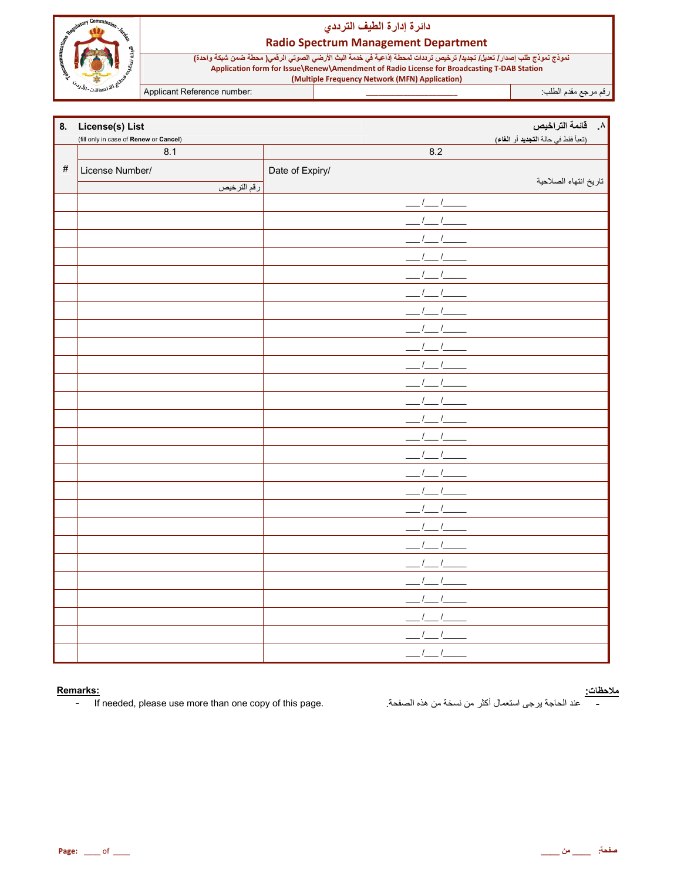

#### **Radio Spectrum Management Department**

نموذج نموذج طلب إصدار / تعديل/ تجديد/ ترخيص ترددات لمحطة إذاعية في خدمة البث الأرضي الصوتي الرقمي( محطة ضمن شبكة واحدة) Application form for Issue\Renew\Amendment of Radio License for Broadcasting T-DAB Station (Multiple Frequency Network (MFN) Application)

Applicant Reference number:

رقم مرجع مقدم الطلب:

| 8.   | License(s) List<br>(fill only in case of Renew or Cancel) |                 | ۸. قائمة التراخيص<br>(تعبأ فقط في حالة التجديد أو الغاء) |
|------|-----------------------------------------------------------|-----------------|----------------------------------------------------------|
|      | 8.1                                                       | 8.2             |                                                          |
| $\#$ | License Number/                                           | Date of Expiry/ |                                                          |
|      | رقم الترخيص                                               |                 | تاريخ انتهاء الصلاحية                                    |
|      |                                                           |                 |                                                          |
|      |                                                           |                 |                                                          |
|      |                                                           |                 |                                                          |
|      |                                                           |                 |                                                          |
|      |                                                           |                 |                                                          |
|      |                                                           |                 |                                                          |
|      |                                                           |                 |                                                          |
|      |                                                           |                 |                                                          |
|      |                                                           |                 |                                                          |
|      |                                                           |                 |                                                          |
|      |                                                           |                 |                                                          |
|      |                                                           |                 |                                                          |
|      |                                                           |                 |                                                          |
|      |                                                           |                 |                                                          |
|      |                                                           |                 |                                                          |
|      |                                                           |                 |                                                          |
|      |                                                           |                 |                                                          |
|      |                                                           |                 |                                                          |
|      |                                                           |                 |                                                          |
|      |                                                           |                 |                                                          |
|      |                                                           |                 |                                                          |
|      |                                                           |                 |                                                          |
|      |                                                           |                 |                                                          |
|      |                                                           |                 |                                                          |
|      |                                                           |                 |                                                          |
|      |                                                           |                 |                                                          |

#### Remarks:

If needed, please use more than one copy of this page.  $\blacksquare$ 

<mark>ملاحظات:</mark><br>\_\_\_\_\_\_ عند الحاجة يرجى استعمال أكثر من نسخة من هذه الصفحة<sub>.</sub>